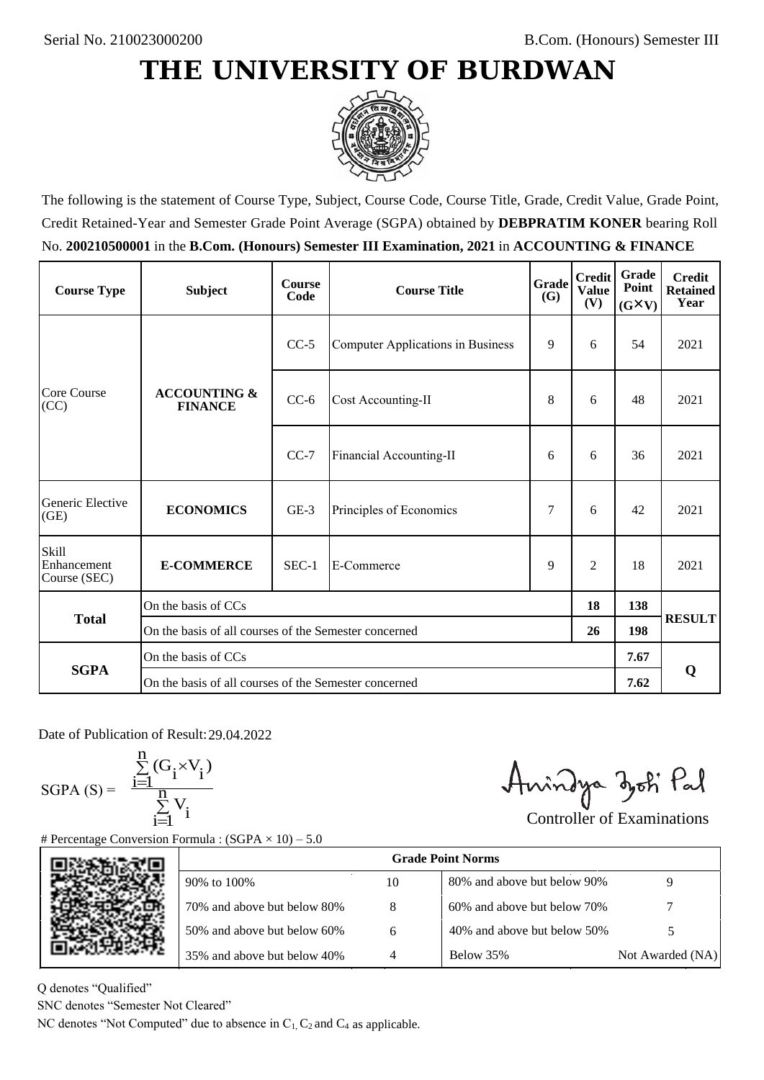## **THE UNIVERSITY OF BURDWAN**



The following is the statement of Course Type, Subject, Course Code, Course Title, Grade, Credit Value, Grade Point, Credit Retained-Year and Semester Grade Point Average (SGPA) obtained by **DEBPRATIM KONER** bearing Roll No. **200210500001** in the **B.Com. (Honours) Semester III Examination, 2021** in **ACCOUNTING & FINANCE**

| <b>Course Type</b>                          | <b>Subject</b>                                        | <b>Course</b><br>Code             | Grade<br><b>Course Title</b><br>(G) |   | <b>Credit</b><br><b>Value</b><br>(V) | Grade<br>Point<br>$(G\times V)$ | <b>Credit</b><br><b>Retained</b><br>Year |
|---------------------------------------------|-------------------------------------------------------|-----------------------------------|-------------------------------------|---|--------------------------------------|---------------------------------|------------------------------------------|
| Core Course<br>(CC)                         | <b>ACCOUNTING &amp;</b><br><b>FINANCE</b>             | $CC-5$                            | Computer Applications in Business   | 9 | 6                                    | 54                              | 2021                                     |
|                                             |                                                       | $CC-6$                            | Cost Accounting-II                  | 8 | 6                                    | 48                              | 2021                                     |
|                                             |                                                       | $CC-7$                            | Financial Accounting-II             | 6 | 6                                    | 36                              | 2021                                     |
| Generic Elective<br>(GE)                    | <b>ECONOMICS</b>                                      | $GE-3$<br>Principles of Economics |                                     | 7 | 6                                    | 42                              | 2021                                     |
| <b>Skill</b><br>Enhancement<br>Course (SEC) | <b>E-COMMERCE</b>                                     | $SEC-1$                           | 9<br>E-Commerce                     |   | 2                                    | 18                              | 2021                                     |
| <b>Total</b>                                | On the basis of CCs                                   |                                   |                                     |   |                                      | 138                             |                                          |
|                                             | On the basis of all courses of the Semester concerned |                                   |                                     |   | 26                                   | 198                             | <b>RESULT</b>                            |
|                                             | On the basis of CCs                                   |                                   |                                     |   |                                      | 7.67                            | Q                                        |
| <b>SGPA</b>                                 | On the basis of all courses of the Semester concerned |                                   |                                     |   |                                      | 7.62                            |                                          |

Date of Publication of Result: 29.04.2022

 $SGPA(S) =$ 

$$
\frac{\sum\limits_{i=1}^{n}(G_{i}\times V_{i})}{\sum\limits_{i=1}^{n}V_{i}}
$$

Amindya zoti Pal

| ate of Publication of Result: 29.04.2022<br>GPA (S) = $\frac{\sum_{i=1}^{n} (G_i \times V_i)}{\sum_{i=1}^{n} V_i}$ | Percentage Conversion Formula : $(SGPA \times 10) - 5.0$                          |    | Amindya zoti Pal            | <b>Controller of Examinations</b> |  |  |  |
|--------------------------------------------------------------------------------------------------------------------|-----------------------------------------------------------------------------------|----|-----------------------------|-----------------------------------|--|--|--|
|                                                                                                                    | <b>Grade Point Norms</b>                                                          |    |                             |                                   |  |  |  |
|                                                                                                                    | 90% to 100%                                                                       | 10 | 80% and above but below 90% | 9                                 |  |  |  |
|                                                                                                                    | 70% and above but below 80%                                                       | 8  | 60% and above but below 70% |                                   |  |  |  |
|                                                                                                                    | 50% and above but below 60%                                                       | 6  | 40% and above but below 50% | 5                                 |  |  |  |
|                                                                                                                    | 35% and above but below 40%                                                       | 4  | Below 35%                   | Not Awarded (NA)                  |  |  |  |
| denotes "Qualified"<br>NC denotes "Semester Not Cleared"                                                           | C denotes "Not Computed" due to absence in $C_1$ , $C_2$ and $C_4$ as applicable. |    |                             |                                   |  |  |  |

Q denotes "Qualified"

SNC denotes "Semester Not Cleared"

NC denotes "Not Computed" due to absence in  $C_1$ ,  $C_2$  and  $C_4$  as applicable.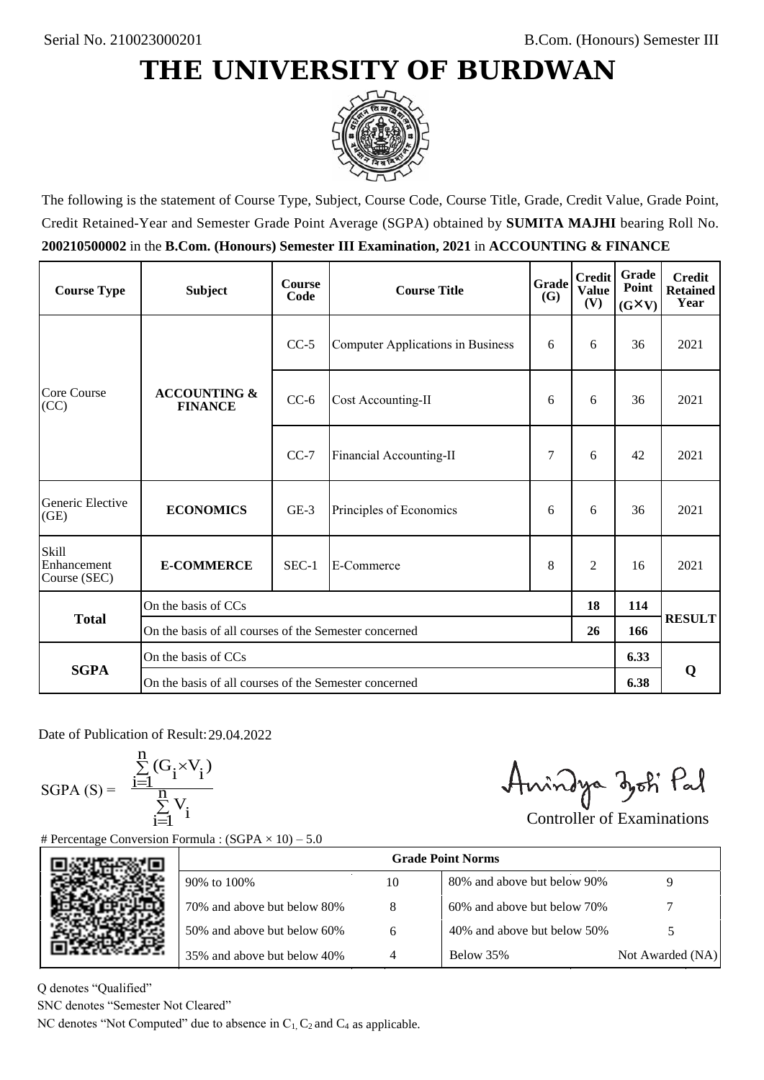## **THE UNIVERSITY OF BURDWAN**



The following is the statement of Course Type, Subject, Course Code, Course Title, Grade, Credit Value, Grade Point, Credit Retained-Year and Semester Grade Point Average (SGPA) obtained by **SUMITA MAJHI** bearing Roll No. **200210500002** in the **B.Com. (Honours) Semester III Examination, 2021** in **ACCOUNTING & FINANCE**

| <b>Course Type</b>                   | <b>Subject</b>                                        | <b>Course</b><br>Code             | Grade<br><b>Course Title</b><br>(G) |   | <b>Credit</b><br><b>Value</b><br>(V) | Grade<br>Point<br>$(G\times V)$ | <b>Credit</b><br><b>Retained</b><br>Year |
|--------------------------------------|-------------------------------------------------------|-----------------------------------|-------------------------------------|---|--------------------------------------|---------------------------------|------------------------------------------|
| Core Course<br>(CC)                  | <b>ACCOUNTING &amp;</b><br><b>FINANCE</b>             | $CC-5$                            | Computer Applications in Business   | 6 | 6                                    | 36                              | 2021                                     |
|                                      |                                                       | $CC-6$                            | Cost Accounting-II                  |   | 6                                    | 36                              | 2021                                     |
|                                      |                                                       | $CC-7$                            | Financial Accounting-II             | 7 | 6                                    | 42                              | 2021                                     |
| Generic Elective<br>(GE)             | <b>ECONOMICS</b>                                      | $GE-3$<br>Principles of Economics |                                     | 6 | 6                                    | 36                              | 2021                                     |
| Skill<br>Enhancement<br>Course (SEC) | <b>E-COMMERCE</b>                                     | $SEC-1$<br>E-Commerce             |                                     | 8 | 2                                    | 16                              | 2021                                     |
| <b>Total</b>                         | On the basis of CCs                                   |                                   |                                     |   |                                      | 114                             |                                          |
|                                      | On the basis of all courses of the Semester concerned |                                   |                                     |   | 26                                   | 166                             | <b>RESULT</b>                            |
|                                      | On the basis of CCs                                   |                                   |                                     |   |                                      | 6.33                            | Q                                        |
| <b>SGPA</b>                          | On the basis of all courses of the Semester concerned |                                   |                                     |   |                                      | 6.38                            |                                          |

Date of Publication of Result: 29.04.2022

 $SGPA(S) =$ 

$$
\frac{\sum\limits_{i=1}^{n} (G_i \times V_i)}{\sum\limits_{i=1}^{n} V_i}
$$

Amindya zoti Pal

| ate of Publication of Result: 29.04.2022<br>GPA (S) = $\frac{\sum_{i=1}^{n} (G_i \times V_i)}{\sum_{i=1}^{n} V_i}$ | Percentage Conversion Formula : $(SGPA \times 10) - 5.0$                          |    | Aningya zoti Pal            | <b>Controller of Examinations</b> |  |  |
|--------------------------------------------------------------------------------------------------------------------|-----------------------------------------------------------------------------------|----|-----------------------------|-----------------------------------|--|--|
|                                                                                                                    | <b>Grade Point Norms</b>                                                          |    |                             |                                   |  |  |
|                                                                                                                    | 90% to 100%                                                                       | 10 | 80% and above but below 90% | 9                                 |  |  |
|                                                                                                                    | 70% and above but below 80%                                                       | 8  | 60% and above but below 70% |                                   |  |  |
|                                                                                                                    | 50% and above but below 60%                                                       | 6  | 40% and above but below 50% | 5                                 |  |  |
|                                                                                                                    | 35% and above but below 40%                                                       | 4  | Below 35%                   | Not Awarded (NA)                  |  |  |
| denotes "Qualified"<br>NC denotes "Semester Not Cleared"                                                           | C denotes "Not Computed" due to absence in $C_1$ , $C_2$ and $C_4$ as applicable. |    |                             |                                   |  |  |

Q denotes "Qualified"

SNC denotes "Semester Not Cleared"

NC denotes "Not Computed" due to absence in  $C_1$ ,  $C_2$  and  $C_4$  as applicable.